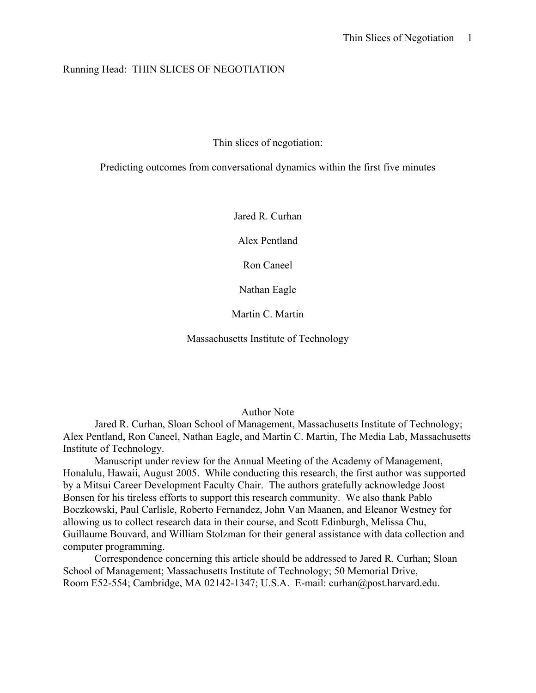## Running Head: THIN SLICES OF NEGOTIATION

Thin slices of negotiation:

Predicting outcomes from conversational dynamics within the first five minutes

Jared R. Curhan

Alex Pentland

Ron Caneel

Nathan Eagle

Martin C. Martin

Massachusetts Institute of Technology

## Author Note

Jared R. Curhan, Sloan School of Management, Massachusetts Institute of Technology; Alex Pentland, Ron Caneel, Nathan Eagle, and Martin C. Martin, The Media Lab, Massachusetts Institute of Technology.

Manuscript under review for the Annual Meeting of the Academy of Management, Honalulu, Hawaii, August 2005. While conducting this research, the first author was supported by a Mitsui Career Development Faculty Chair. The authors gratefully acknowledge Joost Bonsen for his tireless efforts to support this research community. We also thank Pablo Boczkowski, Paul Carlisle, Roberto Fernandez, John Van Maanen, and Eleanor Westney for allowing us to collect research data in their course, and Scott Edinburgh, Melissa Chu, Guillaume Bouvard, and William Stolzman for their general assistance with data collection and computer programming.

Correspondence concerning this article should be addressed to Jared R. Curhan; Sloan School of Management; Massachusetts Institute of Technology; 50 Memorial Drive, Room E52-554; Cambridge, MA 02142-1347; U.S.A. E-mail: curhan@post.harvard.edu.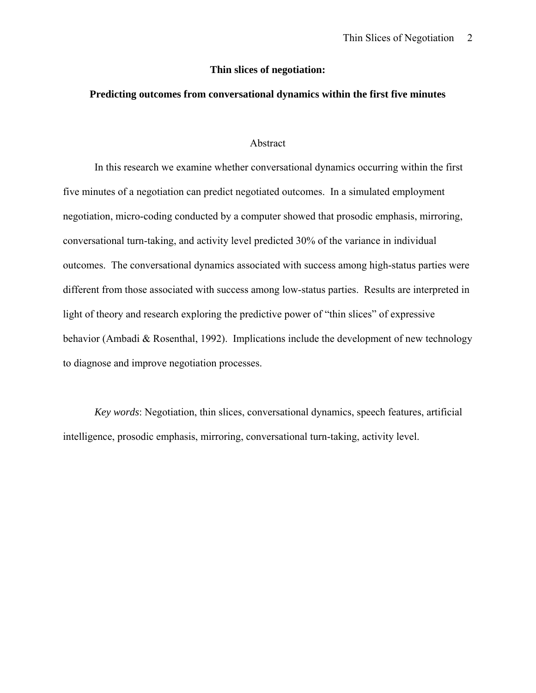### **Thin slices of negotiation:**

## **Predicting outcomes from conversational dynamics within the first five minutes**

#### Abstract

In this research we examine whether conversational dynamics occurring within the first five minutes of a negotiation can predict negotiated outcomes. In a simulated employment negotiation, micro-coding conducted by a computer showed that prosodic emphasis, mirroring, conversational turn-taking, and activity level predicted 30% of the variance in individual outcomes. The conversational dynamics associated with success among high-status parties were different from those associated with success among low-status parties. Results are interpreted in light of theory and research exploring the predictive power of "thin slices" of expressive behavior (Ambadi & Rosenthal, 1992). Implications include the development of new technology to diagnose and improve negotiation processes.

*Key words*: Negotiation, thin slices, conversational dynamics, speech features, artificial intelligence, prosodic emphasis, mirroring, conversational turn-taking, activity level.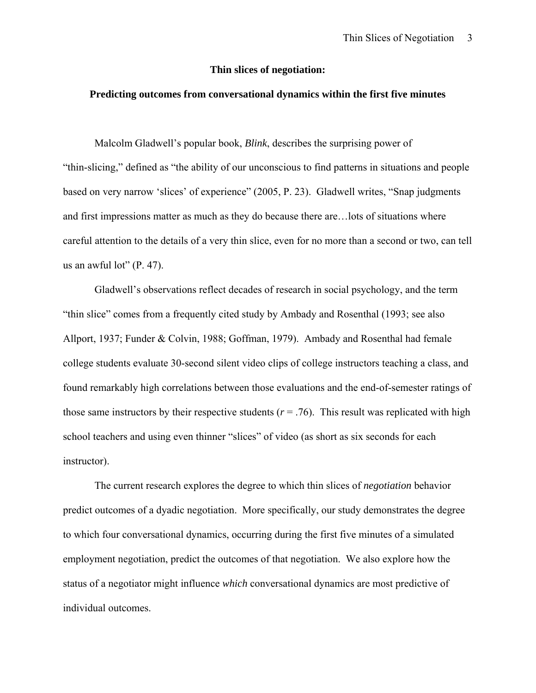## **Thin slices of negotiation:**

## **Predicting outcomes from conversational dynamics within the first five minutes**

Malcolm Gladwell's popular book, *Blink*, describes the surprising power of "thin-slicing," defined as "the ability of our unconscious to find patterns in situations and people based on very narrow 'slices' of experience" (2005, P. 23). Gladwell writes, "Snap judgments and first impressions matter as much as they do because there are…lots of situations where careful attention to the details of a very thin slice, even for no more than a second or two, can tell us an awful lot"  $(P. 47)$ .

Gladwell's observations reflect decades of research in social psychology, and the term "thin slice" comes from a frequently cited study by Ambady and Rosenthal (1993; see also Allport, 1937; Funder & Colvin, 1988; Goffman, 1979). Ambady and Rosenthal had female college students evaluate 30-second silent video clips of college instructors teaching a class, and found remarkably high correlations between those evaluations and the end-of-semester ratings of those same instructors by their respective students  $(r = .76)$ . This result was replicated with high school teachers and using even thinner "slices" of video (as short as six seconds for each instructor).

The current research explores the degree to which thin slices of *negotiation* behavior predict outcomes of a dyadic negotiation. More specifically, our study demonstrates the degree to which four conversational dynamics, occurring during the first five minutes of a simulated employment negotiation, predict the outcomes of that negotiation. We also explore how the status of a negotiator might influence *which* conversational dynamics are most predictive of individual outcomes.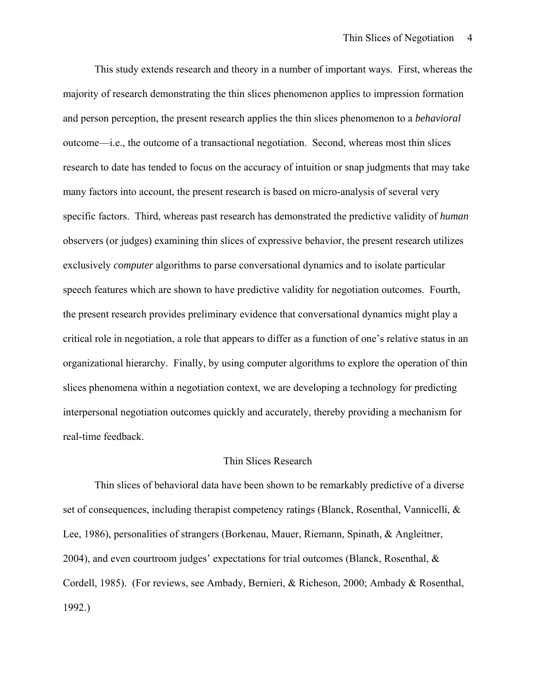This study extends research and theory in a number of important ways. First, whereas the majority of research demonstrating the thin slices phenomenon applies to impression formation and person perception, the present research applies the thin slices phenomenon to a *behavioral* outcome—i.e., the outcome of a transactional negotiation. Second, whereas most thin slices research to date has tended to focus on the accuracy of intuition or snap judgments that may take many factors into account, the present research is based on micro-analysis of several very specific factors. Third, whereas past research has demonstrated the predictive validity of *human* observers (or judges) examining thin slices of expressive behavior, the present research utilizes exclusively *computer* algorithms to parse conversational dynamics and to isolate particular speech features which are shown to have predictive validity for negotiation outcomes. Fourth, the present research provides preliminary evidence that conversational dynamics might play a critical role in negotiation, a role that appears to differ as a function of one's relative status in an organizational hierarchy. Finally, by using computer algorithms to explore the operation of thin slices phenomena within a negotiation context, we are developing a technology for predicting interpersonal negotiation outcomes quickly and accurately, thereby providing a mechanism for real-time feedback.

## Thin Slices Research

Thin slices of behavioral data have been shown to be remarkably predictive of a diverse set of consequences, including therapist competency ratings (Blanck, Rosenthal, Vannicelli, & Lee, 1986), personalities of strangers (Borkenau, Mauer, Riemann, Spinath, & Angleitner, 2004), and even courtroom judges' expectations for trial outcomes (Blanck, Rosenthal, & Cordell, 1985). (For reviews, see Ambady, Bernieri, & Richeson, 2000; Ambady & Rosenthal, 1992.)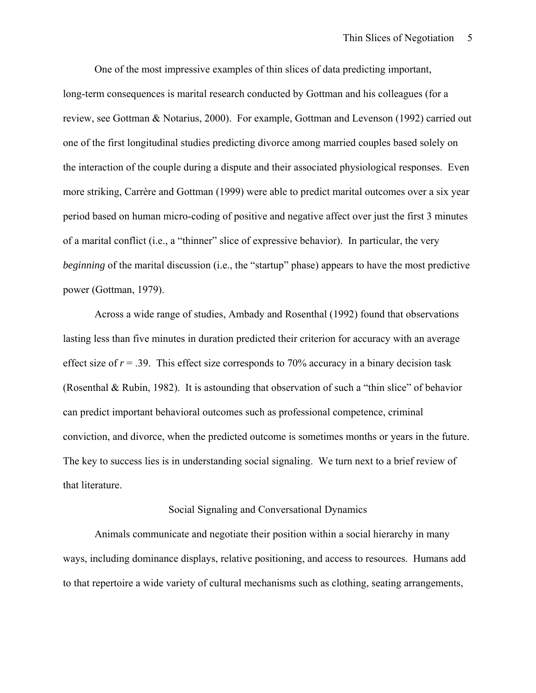One of the most impressive examples of thin slices of data predicting important, long-term consequences is marital research conducted by Gottman and his colleagues (for a review, see Gottman & Notarius, 2000). For example, Gottman and Levenson (1992) carried out one of the first longitudinal studies predicting divorce among married couples based solely on the interaction of the couple during a dispute and their associated physiological responses. Even more striking, Carrère and Gottman (1999) were able to predict marital outcomes over a six year period based on human micro-coding of positive and negative affect over just the first 3 minutes of a marital conflict (i.e., a "thinner" slice of expressive behavior). In particular, the very *beginning* of the marital discussion (i.e., the "startup" phase) appears to have the most predictive power (Gottman, 1979).

Across a wide range of studies, Ambady and Rosenthal (1992) found that observations lasting less than five minutes in duration predicted their criterion for accuracy with an average effect size of  $r = .39$ . This effect size corresponds to 70% accuracy in a binary decision task (Rosenthal & Rubin, 1982). It is astounding that observation of such a "thin slice" of behavior can predict important behavioral outcomes such as professional competence, criminal conviction, and divorce, when the predicted outcome is sometimes months or years in the future. The key to success lies is in understanding social signaling. We turn next to a brief review of that literature.

### Social Signaling and Conversational Dynamics

Animals communicate and negotiate their position within a social hierarchy in many ways, including dominance displays, relative positioning, and access to resources. Humans add to that repertoire a wide variety of cultural mechanisms such as clothing, seating arrangements,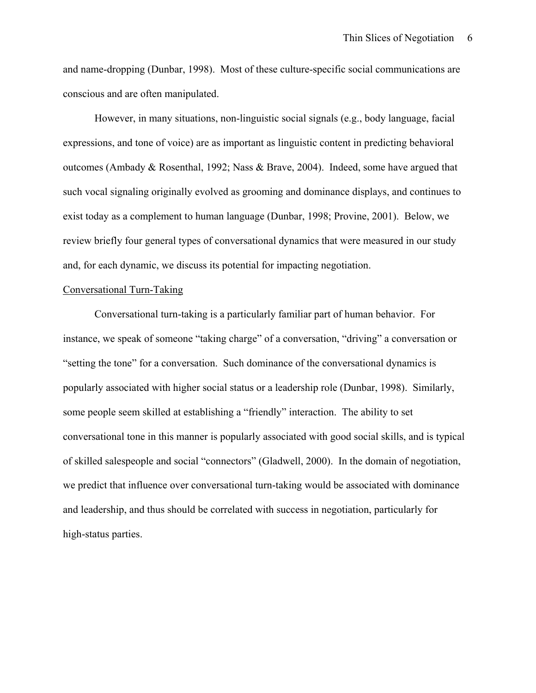and name-dropping (Dunbar, 1998). Most of these culture-specific social communications are conscious and are often manipulated.

However, in many situations, non-linguistic social signals (e.g., body language, facial expressions, and tone of voice) are as important as linguistic content in predicting behavioral outcomes (Ambady & Rosenthal, 1992; Nass & Brave, 2004). Indeed, some have argued that such vocal signaling originally evolved as grooming and dominance displays, and continues to exist today as a complement to human language (Dunbar, 1998; Provine, 2001). Below, we review briefly four general types of conversational dynamics that were measured in our study and, for each dynamic, we discuss its potential for impacting negotiation.

## Conversational Turn-Taking

Conversational turn-taking is a particularly familiar part of human behavior. For instance, we speak of someone "taking charge" of a conversation, "driving" a conversation or "setting the tone" for a conversation. Such dominance of the conversational dynamics is popularly associated with higher social status or a leadership role (Dunbar, 1998). Similarly, some people seem skilled at establishing a "friendly" interaction. The ability to set conversational tone in this manner is popularly associated with good social skills, and is typical of skilled salespeople and social "connectors" (Gladwell, 2000). In the domain of negotiation, we predict that influence over conversational turn-taking would be associated with dominance and leadership, and thus should be correlated with success in negotiation, particularly for high-status parties.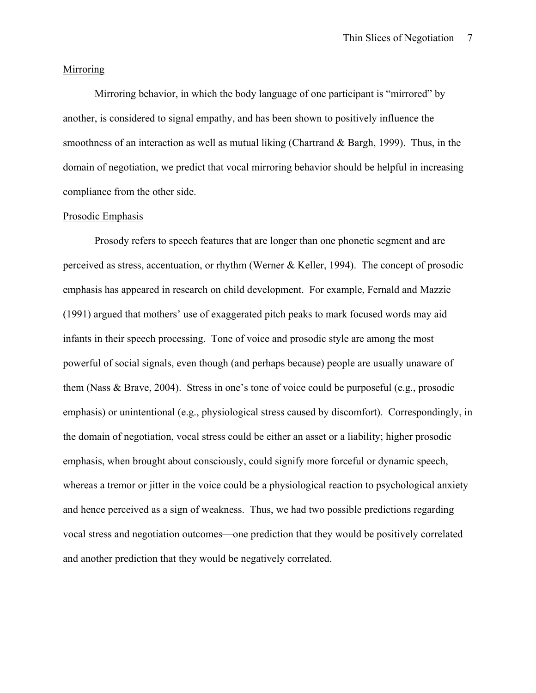## **Mirroring**

Mirroring behavior, in which the body language of one participant is "mirrored" by another, is considered to signal empathy, and has been shown to positively influence the smoothness of an interaction as well as mutual liking (Chartrand & Bargh, 1999). Thus, in the domain of negotiation, we predict that vocal mirroring behavior should be helpful in increasing compliance from the other side.

## Prosodic Emphasis

Prosody refers to speech features that are longer than one phonetic segment and are perceived as stress, accentuation, or rhythm (Werner & Keller, 1994). The concept of prosodic emphasis has appeared in research on child development. For example, Fernald and Mazzie (1991) argued that mothers' use of exaggerated pitch peaks to mark focused words may aid infants in their speech processing. Tone of voice and prosodic style are among the most powerful of social signals, even though (and perhaps because) people are usually unaware of them (Nass & Brave, 2004). Stress in one's tone of voice could be purposeful (e.g., prosodic emphasis) or unintentional (e.g., physiological stress caused by discomfort). Correspondingly, in the domain of negotiation, vocal stress could be either an asset or a liability; higher prosodic emphasis, when brought about consciously, could signify more forceful or dynamic speech, whereas a tremor or jitter in the voice could be a physiological reaction to psychological anxiety and hence perceived as a sign of weakness. Thus, we had two possible predictions regarding vocal stress and negotiation outcomes—one prediction that they would be positively correlated and another prediction that they would be negatively correlated.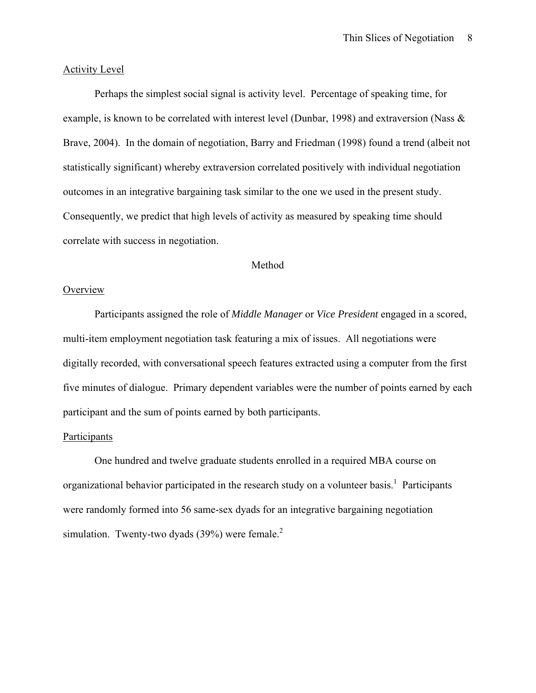## Activity Level

Perhaps the simplest social signal is activity level. Percentage of speaking time, for example, is known to be correlated with interest level (Dunbar, 1998) and extraversion (Nass & Brave, 2004). In the domain of negotiation, Barry and Friedman (1998) found a trend (albeit not statistically significant) whereby extraversion correlated positively with individual negotiation outcomes in an integrative bargaining task similar to the one we used in the present study. Consequently, we predict that high levels of activity as measured by speaking time should correlate with success in negotiation.

# Method

## **Overview**

Participants assigned the role of *Middle Manager* or *Vice President* engaged in a scored, multi-item employment negotiation task featuring a mix of issues. All negotiations were digitally recorded, with conversational speech features extracted using a computer from the first five minutes of dialogue. Primary dependent variables were the number of points earned by each participant and the sum of points earned by both participants.

## Participants

One hundred and twelve graduate students enrolled in a required MBA course on organizational behavior participated in the research study on a volunteer basis.<sup>1</sup> Participants were randomly formed into 56 same-sex dyads for an integrative bargaining negotiation simulation. Twenty-two dyads  $(39%)$  were female.<sup>2</sup>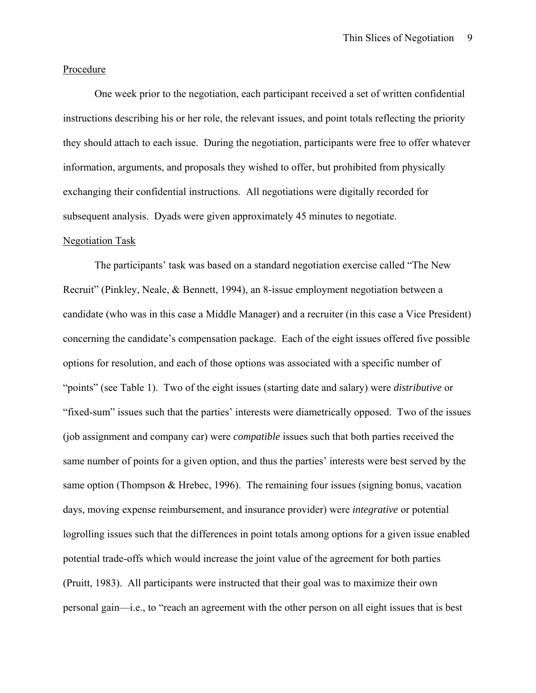## Procedure

One week prior to the negotiation, each participant received a set of written confidential instructions describing his or her role, the relevant issues, and point totals reflecting the priority they should attach to each issue. During the negotiation, participants were free to offer whatever information, arguments, and proposals they wished to offer, but prohibited from physically exchanging their confidential instructions. All negotiations were digitally recorded for subsequent analysis. Dyads were given approximately 45 minutes to negotiate.

### Negotiation Task

The participants' task was based on a standard negotiation exercise called "The New Recruit" (Pinkley, Neale, & Bennett, 1994), an 8-issue employment negotiation between a candidate (who was in this case a Middle Manager) and a recruiter (in this case a Vice President) concerning the candidate's compensation package. Each of the eight issues offered five possible options for resolution, and each of those options was associated with a specific number of "points" (see Table 1). Two of the eight issues (starting date and salary) were *distributive* or "fixed-sum" issues such that the parties' interests were diametrically opposed. Two of the issues (job assignment and company car) were *compatible* issues such that both parties received the same number of points for a given option, and thus the parties' interests were best served by the same option (Thompson & Hrebec, 1996). The remaining four issues (signing bonus, vacation days, moving expense reimbursement, and insurance provider) were *integrative* or potential logrolling issues such that the differences in point totals among options for a given issue enabled potential trade-offs which would increase the joint value of the agreement for both parties (Pruitt, 1983). All participants were instructed that their goal was to maximize their own personal gain—i.e., to "reach an agreement with the other person on all eight issues that is best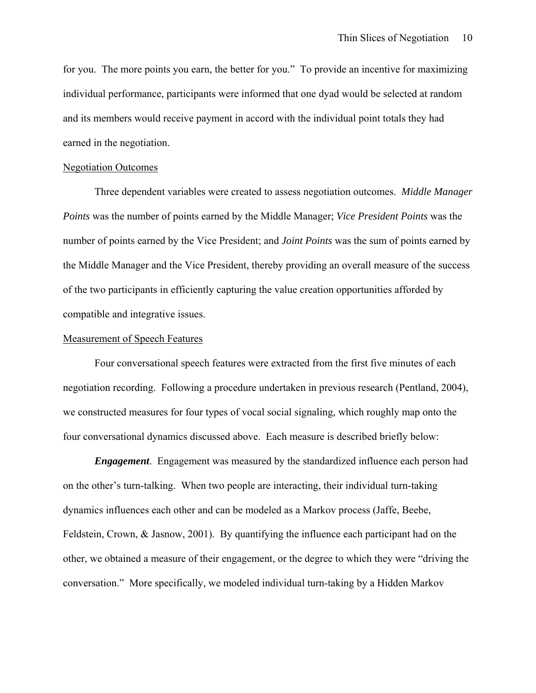for you. The more points you earn, the better for you." To provide an incentive for maximizing individual performance, participants were informed that one dyad would be selected at random and its members would receive payment in accord with the individual point totals they had earned in the negotiation.

#### Negotiation Outcomes

Three dependent variables were created to assess negotiation outcomes. *Middle Manager Points* was the number of points earned by the Middle Manager; *Vice President Points* was the number of points earned by the Vice President; and *Joint Points* was the sum of points earned by the Middle Manager and the Vice President, thereby providing an overall measure of the success of the two participants in efficiently capturing the value creation opportunities afforded by compatible and integrative issues.

# Measurement of Speech Features

Four conversational speech features were extracted from the first five minutes of each negotiation recording. Following a procedure undertaken in previous research (Pentland, 2004), we constructed measures for four types of vocal social signaling, which roughly map onto the four conversational dynamics discussed above. Each measure is described briefly below:

*Engagement*. Engagement was measured by the standardized influence each person had on the other's turn-talking. When two people are interacting, their individual turn-taking dynamics influences each other and can be modeled as a Markov process (Jaffe, Beebe, Feldstein, Crown, & Jasnow, 2001). By quantifying the influence each participant had on the other, we obtained a measure of their engagement, or the degree to which they were "driving the conversation." More specifically, we modeled individual turn-taking by a Hidden Markov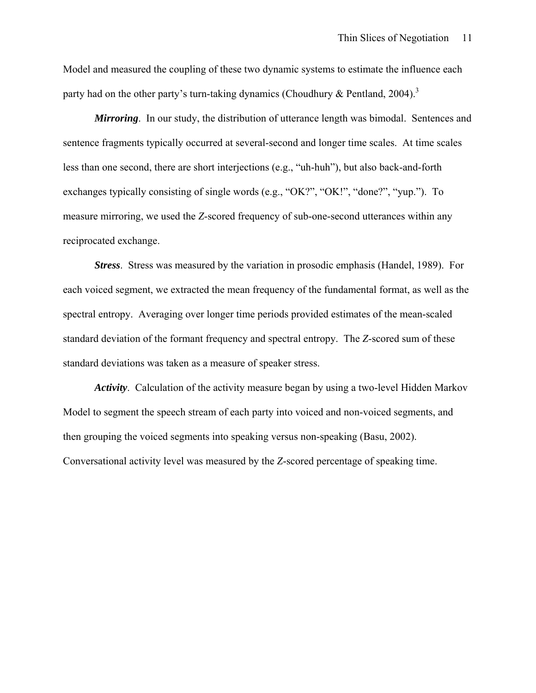Model and measured the coupling of these two dynamic systems to estimate the influence each party had on the other party's turn-taking dynamics (Choudhury & Pentland, 2004).<sup>3</sup>

*Mirroring*. In our study, the distribution of utterance length was bimodal. Sentences and sentence fragments typically occurred at several-second and longer time scales. At time scales less than one second, there are short interjections (e.g., "uh-huh"), but also back-and-forth exchanges typically consisting of single words (e.g., "OK?", "OK!", "done?", "yup."). To measure mirroring, we used the *Z*-scored frequency of sub-one-second utterances within any reciprocated exchange.

*Stress*. Stress was measured by the variation in prosodic emphasis (Handel, 1989). For each voiced segment, we extracted the mean frequency of the fundamental format, as well as the spectral entropy. Averaging over longer time periods provided estimates of the mean-scaled standard deviation of the formant frequency and spectral entropy. The *Z*-scored sum of these standard deviations was taken as a measure of speaker stress.

*Activity*. Calculation of the activity measure began by using a two-level Hidden Markov Model to segment the speech stream of each party into voiced and non-voiced segments, and then grouping the voiced segments into speaking versus non-speaking (Basu, 2002). Conversational activity level was measured by the *Z*-scored percentage of speaking time.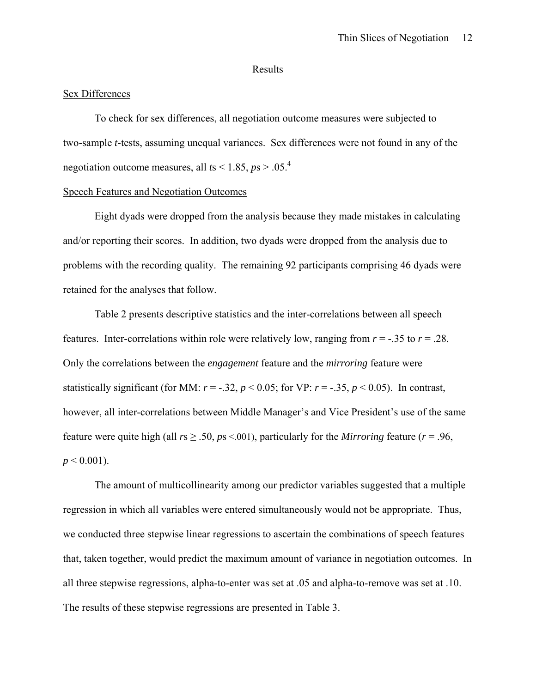#### Results

## Sex Differences

To check for sex differences, all negotiation outcome measures were subjected to two-sample *t*-tests, assuming unequal variances. Sex differences were not found in any of the negotiation outcome measures, all  $t s < 1.85$ ,  $p s > .05$ .<sup>4</sup>

#### Speech Features and Negotiation Outcomes

Eight dyads were dropped from the analysis because they made mistakes in calculating and/or reporting their scores. In addition, two dyads were dropped from the analysis due to problems with the recording quality. The remaining 92 participants comprising 46 dyads were retained for the analyses that follow.

Table 2 presents descriptive statistics and the inter-correlations between all speech features. Inter-correlations within role were relatively low, ranging from  $r = -0.35$  to  $r = 0.28$ . Only the correlations between the *engagement* feature and the *mirroring* feature were statistically significant (for MM:  $r = -.32$ ,  $p < 0.05$ ; for VP:  $r = -.35$ ,  $p < 0.05$ ). In contrast, however, all inter-correlations between Middle Manager's and Vice President's use of the same feature were quite high (all  $rs \geq .50$ ,  $ps < .001$ ), particularly for the *Mirroring* feature ( $r = .96$ ,  $p < 0.001$ ).

The amount of multicollinearity among our predictor variables suggested that a multiple regression in which all variables were entered simultaneously would not be appropriate. Thus, we conducted three stepwise linear regressions to ascertain the combinations of speech features that, taken together, would predict the maximum amount of variance in negotiation outcomes. In all three stepwise regressions, alpha-to-enter was set at .05 and alpha-to-remove was set at .10. The results of these stepwise regressions are presented in Table 3.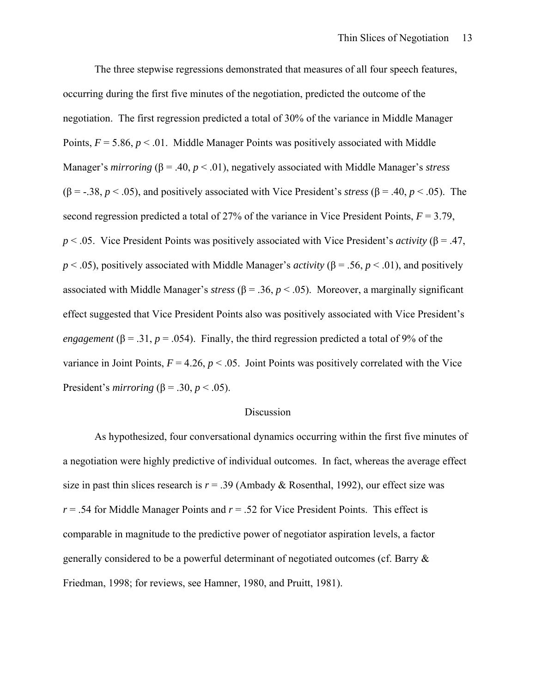The three stepwise regressions demonstrated that measures of all four speech features, occurring during the first five minutes of the negotiation, predicted the outcome of the negotiation. The first regression predicted a total of 30% of the variance in Middle Manager Points,  $F = 5.86$ ,  $p < 0.01$ . Middle Manager Points was positively associated with Middle Manager's *mirroring* (β = .40, *p* < .01), negatively associated with Middle Manager's *stress* ( $\beta$  = -.38, *p* < .05), and positively associated with Vice President's *stress* ( $\beta$  = .40, *p* < .05). The second regression predicted a total of 27% of the variance in Vice President Points, *F* = 3.79, *p* < .05. Vice President Points was positively associated with Vice President's *activity* (β = .47, *p* < .05), positively associated with Middle Manager's *activity* (β = .56, *p* < .01), and positively associated with Middle Manager's *stress*  $(\beta = .36, p < .05)$ . Moreover, a marginally significant effect suggested that Vice President Points also was positively associated with Vice President's *engagement* ( $\beta$  = .31, *p* = .054). Finally, the third regression predicted a total of 9% of the variance in Joint Points,  $F = 4.26$ ,  $p < .05$ . Joint Points was positively correlated with the Vice President's *mirroring* ( $\beta$  = .30, *p* < .05).

#### Discussion

As hypothesized, four conversational dynamics occurring within the first five minutes of a negotiation were highly predictive of individual outcomes. In fact, whereas the average effect size in past thin slices research is  $r = .39$  (Ambady & Rosenthal, 1992), our effect size was  $r = 0.54$  for Middle Manager Points and  $r = 0.52$  for Vice President Points. This effect is comparable in magnitude to the predictive power of negotiator aspiration levels, a factor generally considered to be a powerful determinant of negotiated outcomes (cf. Barry & Friedman, 1998; for reviews, see Hamner, 1980, and Pruitt, 1981).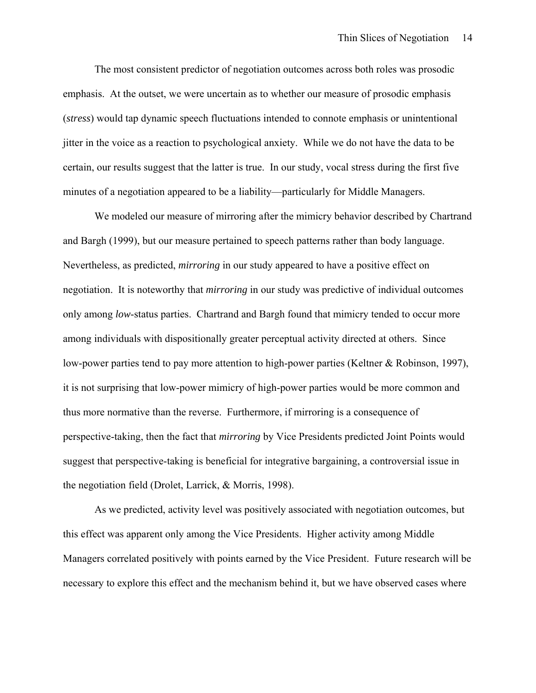The most consistent predictor of negotiation outcomes across both roles was prosodic emphasis. At the outset, we were uncertain as to whether our measure of prosodic emphasis (*stress*) would tap dynamic speech fluctuations intended to connote emphasis or unintentional jitter in the voice as a reaction to psychological anxiety. While we do not have the data to be certain, our results suggest that the latter is true. In our study, vocal stress during the first five minutes of a negotiation appeared to be a liability—particularly for Middle Managers.

We modeled our measure of mirroring after the mimicry behavior described by Chartrand and Bargh (1999), but our measure pertained to speech patterns rather than body language. Nevertheless, as predicted, *mirroring* in our study appeared to have a positive effect on negotiation. It is noteworthy that *mirroring* in our study was predictive of individual outcomes only among *low*-status parties. Chartrand and Bargh found that mimicry tended to occur more among individuals with dispositionally greater perceptual activity directed at others. Since low-power parties tend to pay more attention to high-power parties (Keltner & Robinson, 1997), it is not surprising that low-power mimicry of high-power parties would be more common and thus more normative than the reverse. Furthermore, if mirroring is a consequence of perspective-taking, then the fact that *mirroring* by Vice Presidents predicted Joint Points would suggest that perspective-taking is beneficial for integrative bargaining, a controversial issue in the negotiation field (Drolet, Larrick, & Morris, 1998).

As we predicted, activity level was positively associated with negotiation outcomes, but this effect was apparent only among the Vice Presidents. Higher activity among Middle Managers correlated positively with points earned by the Vice President. Future research will be necessary to explore this effect and the mechanism behind it, but we have observed cases where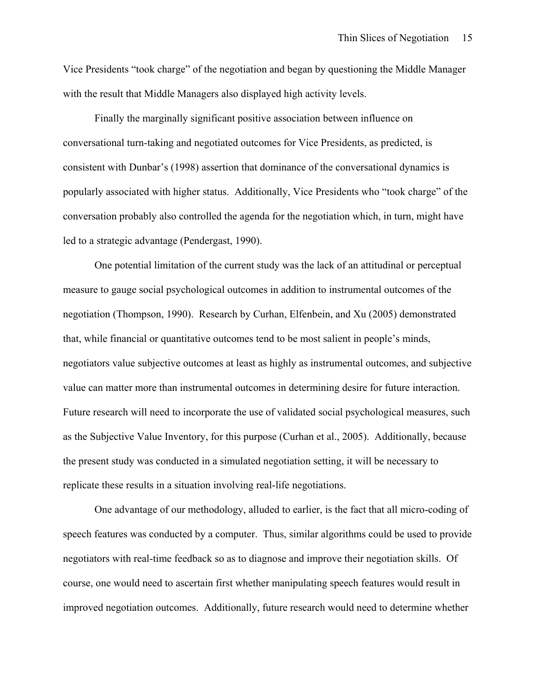Vice Presidents "took charge" of the negotiation and began by questioning the Middle Manager with the result that Middle Managers also displayed high activity levels.

Finally the marginally significant positive association between influence on conversational turn-taking and negotiated outcomes for Vice Presidents, as predicted, is consistent with Dunbar's (1998) assertion that dominance of the conversational dynamics is popularly associated with higher status. Additionally, Vice Presidents who "took charge" of the conversation probably also controlled the agenda for the negotiation which, in turn, might have led to a strategic advantage (Pendergast, 1990).

One potential limitation of the current study was the lack of an attitudinal or perceptual measure to gauge social psychological outcomes in addition to instrumental outcomes of the negotiation (Thompson, 1990). Research by Curhan, Elfenbein, and Xu (2005) demonstrated that, while financial or quantitative outcomes tend to be most salient in people's minds, negotiators value subjective outcomes at least as highly as instrumental outcomes, and subjective value can matter more than instrumental outcomes in determining desire for future interaction. Future research will need to incorporate the use of validated social psychological measures, such as the Subjective Value Inventory, for this purpose (Curhan et al., 2005). Additionally, because the present study was conducted in a simulated negotiation setting, it will be necessary to replicate these results in a situation involving real-life negotiations.

One advantage of our methodology, alluded to earlier, is the fact that all micro-coding of speech features was conducted by a computer. Thus, similar algorithms could be used to provide negotiators with real-time feedback so as to diagnose and improve their negotiation skills. Of course, one would need to ascertain first whether manipulating speech features would result in improved negotiation outcomes. Additionally, future research would need to determine whether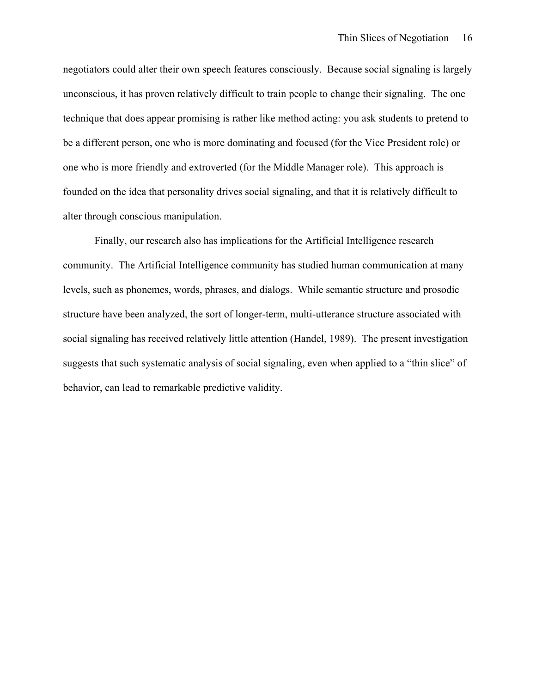negotiators could alter their own speech features consciously. Because social signaling is largely unconscious, it has proven relatively difficult to train people to change their signaling. The one technique that does appear promising is rather like method acting: you ask students to pretend to be a different person, one who is more dominating and focused (for the Vice President role) or one who is more friendly and extroverted (for the Middle Manager role). This approach is founded on the idea that personality drives social signaling, and that it is relatively difficult to alter through conscious manipulation.

Finally, our research also has implications for the Artificial Intelligence research community. The Artificial Intelligence community has studied human communication at many levels, such as phonemes, words, phrases, and dialogs. While semantic structure and prosodic structure have been analyzed, the sort of longer-term, multi-utterance structure associated with social signaling has received relatively little attention (Handel, 1989). The present investigation suggests that such systematic analysis of social signaling, even when applied to a "thin slice" of behavior, can lead to remarkable predictive validity.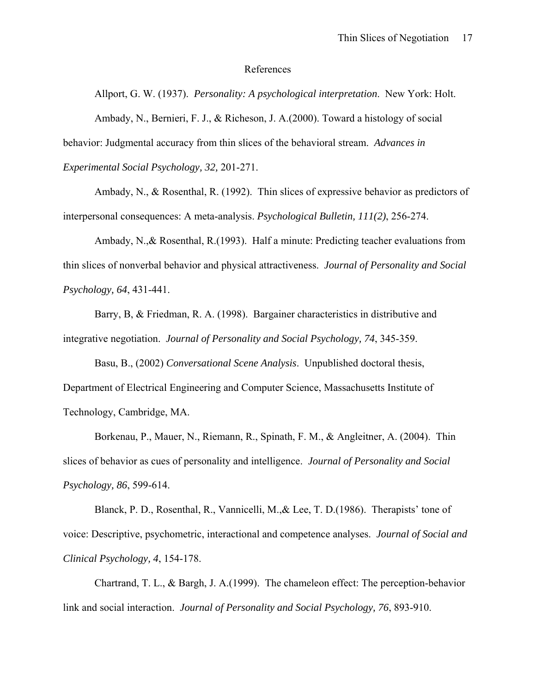#### References

Allport, G. W. (1937). *Personality: A psychological interpretation*. New York: Holt. Ambady, N., Bernieri, F. J., & Richeson, J. A.(2000). Toward a histology of social behavior: Judgmental accuracy from thin slices of the behavioral stream. *Advances in Experimental Social Psychology, 32,* 201-271.

Ambady, N., & Rosenthal, R. (1992). Thin slices of expressive behavior as predictors of interpersonal consequences: A meta-analysis. *Psychological Bulletin, 111(2)*, 256-274.

Ambady, N.,& Rosenthal, R.(1993). Half a minute: Predicting teacher evaluations from thin slices of nonverbal behavior and physical attractiveness. *Journal of Personality and Social Psychology, 64*, 431-441.

Barry, B, & Friedman, R. A. (1998). Bargainer characteristics in distributive and integrative negotiation. *Journal of Personality and Social Psychology, 74*, 345-359.

Basu, B., (2002) *Conversational Scene Analysis*. Unpublished doctoral thesis, Department of Electrical Engineering and Computer Science, Massachusetts Institute of Technology, Cambridge, MA.

Borkenau, P., Mauer, N., Riemann, R., Spinath, F. M., & Angleitner, A. (2004). Thin slices of behavior as cues of personality and intelligence. *Journal of Personality and Social Psychology, 86*, 599-614.

Blanck, P. D., Rosenthal, R., Vannicelli, M.,& Lee, T. D.(1986). Therapists' tone of voice: Descriptive, psychometric, interactional and competence analyses. *Journal of Social and Clinical Psychology, 4*, 154-178.

Chartrand, T. L., & Bargh, J. A.(1999). The chameleon effect: The perception-behavior link and social interaction. *Journal of Personality and Social Psychology, 76*, 893-910.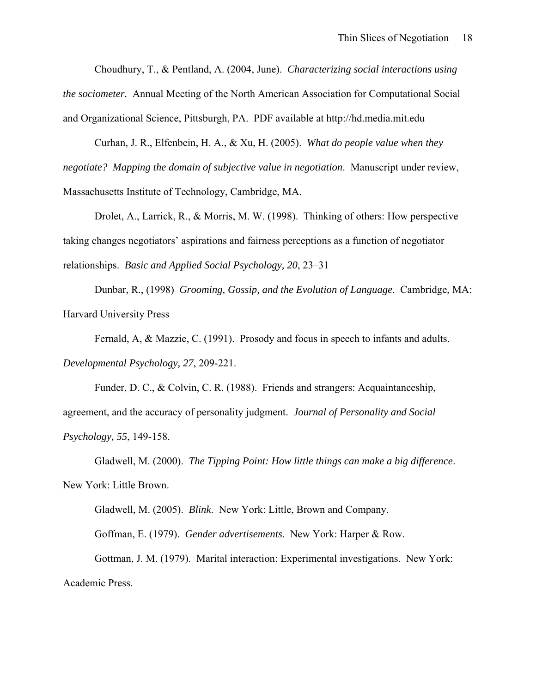Choudhury, T., & Pentland, A. (2004, June). *Characterizing social interactions using the sociometer.* Annual Meeting of the North American Association for Computational Social and Organizational Science, Pittsburgh, PA. PDF available at http://hd.media.mit.edu

Curhan, J. R., Elfenbein, H. A., & Xu, H. (2005). *What do people value when they negotiate? Mapping the domain of subjective value in negotiation*. Manuscript under review, Massachusetts Institute of Technology, Cambridge, MA.

Drolet, A., Larrick, R., & Morris, M. W. (1998). Thinking of others: How perspective taking changes negotiators' aspirations and fairness perceptions as a function of negotiator relationships. *Basic and Applied Social Psychology, 20*, 23–31

Dunbar, R., (1998) *Grooming, Gossip, and the Evolution of Language*. Cambridge, MA: Harvard University Press

Fernald, A, & Mazzie, C. (1991). Prosody and focus in speech to infants and adults. *Developmental Psychology, 27*, 209-221.

Funder, D. C., & Colvin, C. R. (1988). Friends and strangers: Acquaintanceship, agreement, and the accuracy of personality judgment. *Journal of Personality and Social Psychology, 55*, 149-158.

Gladwell, M. (2000). *The Tipping Point: How little things can make a big difference*. New York: Little Brown.

Gladwell, M. (2005). *Blink*. New York: Little, Brown and Company.

Goffman, E. (1979). *Gender advertisements*. New York: Harper & Row.

Gottman, J. M. (1979). Marital interaction: Experimental investigations. New York: Academic Press.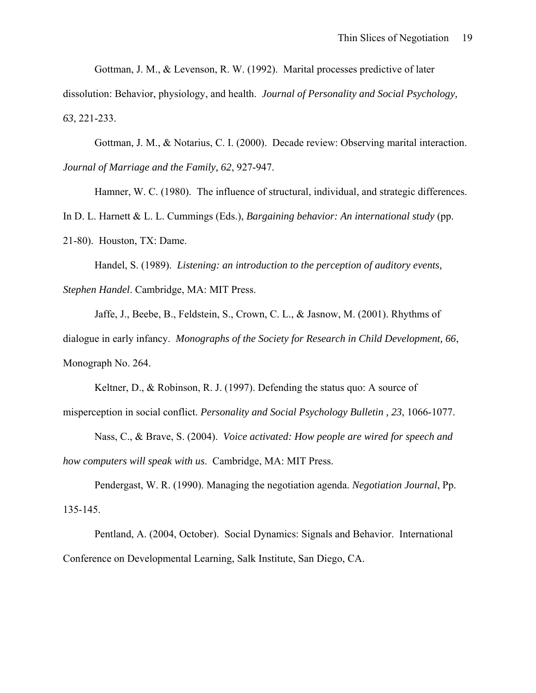Gottman, J. M., & Levenson, R. W. (1992). Marital processes predictive of later

dissolution: Behavior, physiology, and health. *Journal of Personality and Social Psychology, 63*, 221-233.

Gottman, J. M., & Notarius, C. I. (2000). Decade review: Observing marital interaction. *Journal of Marriage and the Family, 62*, 927-947.

Hamner, W. C. (1980). The influence of structural, individual, and strategic differences.

In D. L. Harnett & L. L. Cummings (Eds.), *Bargaining behavior: An international study* (pp.

21-80). Houston, TX: Dame.

Handel, S. (1989). *Listening: an introduction to the perception of auditory events,* 

*Stephen Handel*. Cambridge, MA: MIT Press.

Jaffe, J., Beebe, B., Feldstein, S., Crown, C. L., & Jasnow, M. (2001). Rhythms of dialogue in early infancy. *Monographs of the Society for Research in Child Development, 66*, Monograph No. 264.

Keltner, D., & Robinson, R. J. (1997). Defending the status quo: A source of misperception in social conflict. *Personality and Social Psychology Bulletin , 23*, 1066-1077.

Nass, C., & Brave, S. (2004). *Voice activated: How people are wired for speech and how computers will speak with us*. Cambridge, MA: MIT Press.

Pendergast, W. R. (1990). Managing the negotiation agenda. *Negotiation Journal*, Pp. 135-145.

Pentland, A. (2004, October). Social Dynamics: Signals and Behavior. International Conference on Developmental Learning, Salk Institute, San Diego, CA.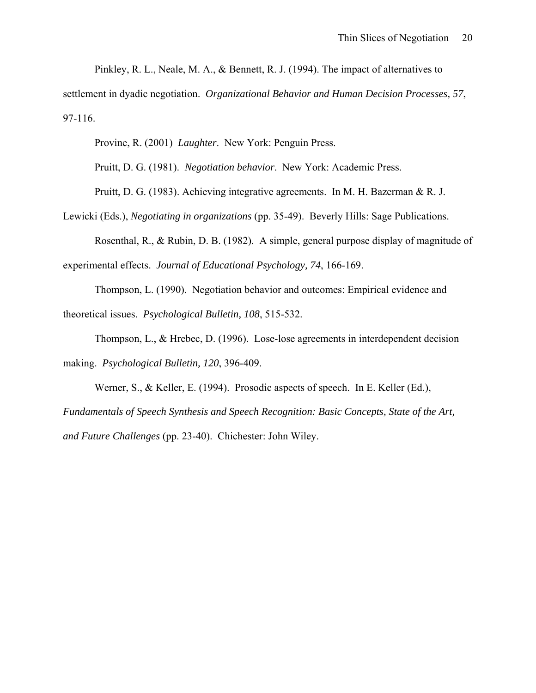Pinkley, R. L., Neale, M. A., & Bennett, R. J. (1994). The impact of alternatives to

settlement in dyadic negotiation. *Organizational Behavior and Human Decision Processes, 57*, 97-116.

Provine, R. (2001) *Laughter*. New York: Penguin Press.

Pruitt, D. G. (1981). *Negotiation behavior*. New York: Academic Press.

Pruitt, D. G. (1983). Achieving integrative agreements. In M. H. Bazerman & R. J.

Lewicki (Eds.), *Negotiating in organizations* (pp. 35-49). Beverly Hills: Sage Publications.

Rosenthal, R., & Rubin, D. B. (1982). A simple, general purpose display of magnitude of experimental effects. *Journal of Educational Psychology, 74*, 166-169.

Thompson, L. (1990). Negotiation behavior and outcomes: Empirical evidence and theoretical issues. *Psychological Bulletin, 108*, 515-532.

Thompson, L., & Hrebec, D. (1996). Lose-lose agreements in interdependent decision making. *Psychological Bulletin, 120*, 396-409.

Werner, S., & Keller, E. (1994). Prosodic aspects of speech. In E. Keller (Ed.),

*Fundamentals of Speech Synthesis and Speech Recognition: Basic Concepts, State of the Art, and Future Challenges* (pp. 23-40). Chichester: John Wiley.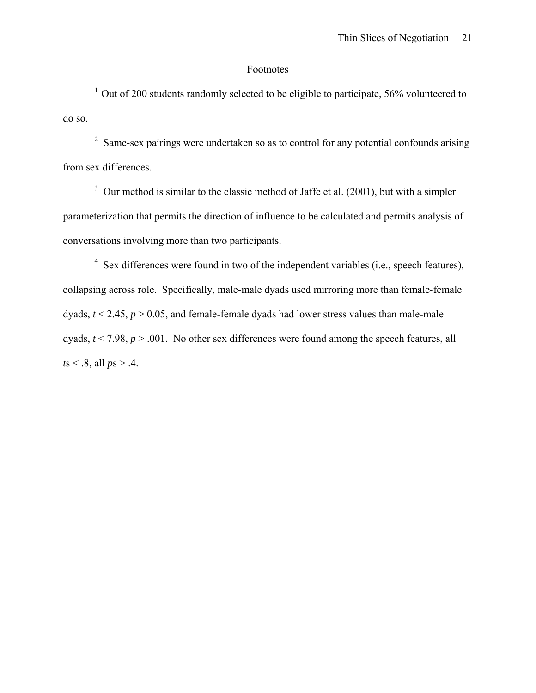## Footnotes

 $1$  Out of 200 students randomly selected to be eligible to participate, 56% volunteered to do so.

 $2$  Same-sex pairings were undertaken so as to control for any potential confounds arising from sex differences.

 $3$  Our method is similar to the classic method of Jaffe et al. (2001), but with a simpler parameterization that permits the direction of influence to be calculated and permits analysis of conversations involving more than two participants.

 $4$  Sex differences were found in two of the independent variables (i.e., speech features), collapsing across role. Specifically, male-male dyads used mirroring more than female-female dyads,  $t \le 2.45$ ,  $p > 0.05$ , and female-female dyads had lower stress values than male-male dyads,  $t \le 7.98$ ,  $p > .001$ . No other sex differences were found among the speech features, all *t*s < .8, all *p*s > .4.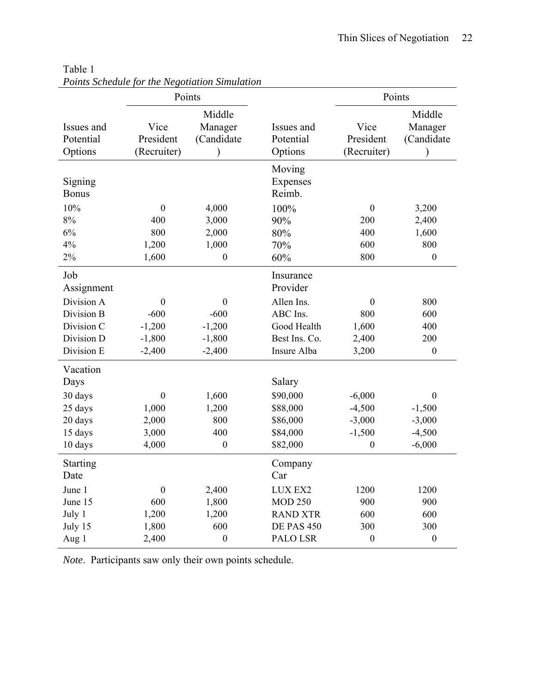|                                    | Points                           |                                 |                              | Points                           |                                 |  |
|------------------------------------|----------------------------------|---------------------------------|------------------------------|----------------------------------|---------------------------------|--|
| Issues and<br>Potential<br>Options | Vice<br>President<br>(Recruiter) | Middle<br>Manager<br>(Candidate |                              | Vice<br>President<br>(Recruiter) | Middle<br>Manager<br>(Candidate |  |
| Signing<br><b>Bonus</b>            |                                  |                                 | Moving<br>Expenses<br>Reimb. |                                  |                                 |  |
| 10%                                | $\boldsymbol{0}$                 | 4,000                           | 100%                         | $\boldsymbol{0}$                 | 3,200                           |  |
| 8%                                 | 400                              | 3,000                           | 90%                          | 200                              | 2,400                           |  |
| 6%                                 | 800                              | 2,000                           | 80%                          | 400                              | 1,600                           |  |
| 4%                                 | 1,200                            | 1,000                           | 70%                          | 600                              | 800                             |  |
| 2%                                 | 1,600                            | $\boldsymbol{0}$                | 60%                          | 800                              | $\boldsymbol{0}$                |  |
| Job<br>Assignment                  |                                  |                                 | Insurance<br>Provider        |                                  |                                 |  |
| Division A                         | $\boldsymbol{0}$                 | $\boldsymbol{0}$                | Allen Ins.                   | $\boldsymbol{0}$                 | 800                             |  |
| Division B                         | $-600$                           | $-600$                          | ABC Ins.                     | 800                              | 600                             |  |
| Division C                         | $-1,200$                         | $-1,200$                        | Good Health                  | 1,600                            | 400                             |  |
| Division D                         | $-1,800$                         | $-1,800$                        | Best Ins. Co.                | 2,400                            | 200                             |  |
| Division E                         | $-2,400$                         | $-2,400$                        | Insure Alba                  | 3,200                            | $\boldsymbol{0}$                |  |
| Vacation<br>Days                   |                                  |                                 | Salary                       |                                  |                                 |  |
| 30 days                            | $\boldsymbol{0}$                 | 1,600                           | \$90,000                     | $-6,000$                         | $\boldsymbol{0}$                |  |
| 25 days                            | 1,000                            | 1,200                           | \$88,000                     | $-4,500$                         | $-1,500$                        |  |
| 20 days                            | 2,000                            | 800                             | \$86,000                     | $-3,000$                         | $-3,000$                        |  |
| 15 days                            | 3,000                            | 400                             | \$84,000                     | $-1,500$                         | $-4,500$                        |  |
| 10 days                            | 4,000                            | $\boldsymbol{0}$                | \$82,000                     | $\boldsymbol{0}$                 | $-6,000$                        |  |
| <b>Starting</b><br>Date            |                                  |                                 | Company<br>Car               |                                  |                                 |  |
| June 1                             | $\boldsymbol{0}$                 | 2,400                           | LUX EX2                      | 1200                             | 1200                            |  |
| June 15                            | 600                              | 1,800                           | <b>MOD 250</b>               | 900                              | 900                             |  |
| July 1                             | 1,200                            | 1,200                           | <b>RAND XTR</b>              | 600                              | 600                             |  |
| July 15                            | 1,800                            | 600                             | <b>DE PAS 450</b>            | 300                              | 300                             |  |
| Aug 1                              | 2,400                            | $\boldsymbol{0}$                | PALO LSR                     | $\boldsymbol{0}$                 | $\boldsymbol{0}$                |  |

Table 1 *Points Schedule for the Negotiation Simulation* 

*Note*. Participants saw only their own points schedule.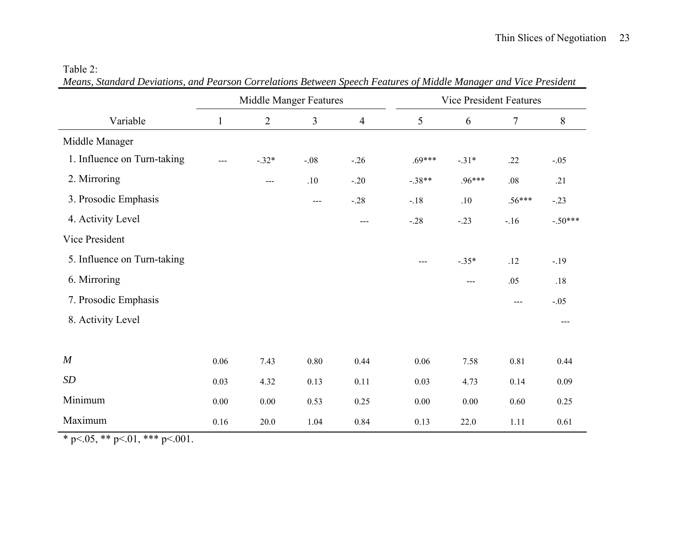#### Table 2:

*Means, Standard Deviations, and Pearson Correlations Between Speech Features of Middle Manager and Vice President* 

|                             | <b>Middle Manger Features</b> |                |                | <b>Vice President Features</b> |                            |          |          |           |
|-----------------------------|-------------------------------|----------------|----------------|--------------------------------|----------------------------|----------|----------|-----------|
| Variable                    | $\mathbf{1}$                  | $\overline{2}$ | $\overline{3}$ | $\overline{4}$                 | 5                          | 6        | $\tau$   | 8         |
| Middle Manager              |                               |                |                |                                |                            |          |          |           |
| 1. Influence on Turn-taking | $---$                         | $-.32*$        | $-.08$         | $-.26$                         | $.69***$                   | $-.31*$  | .22      | $-.05$    |
| 2. Mirroring                |                               | $---$          | .10            | $-.20$                         | $-.38**$                   | $.96***$ | .08      | .21       |
| 3. Prosodic Emphasis        |                               |                | $---$          | $-.28$                         | $-.18$                     | .10      | $.56***$ | $-.23$    |
| 4. Activity Level           |                               |                |                | $---$                          | $-.28$                     | $-.23$   | $-.16$   | $-.50***$ |
| Vice President              |                               |                |                |                                |                            |          |          |           |
| 5. Influence on Turn-taking |                               |                |                |                                | $\qquad \qquad \text{---}$ | $-.35*$  | .12      | $-.19$    |
| 6. Mirroring                |                               |                |                |                                |                            | $---$    | .05      | .18       |
| 7. Prosodic Emphasis        |                               |                |                |                                |                            |          | $---$    | $-.05$    |
| 8. Activity Level           |                               |                |                |                                |                            |          |          | $---$     |
|                             |                               |                |                |                                |                            |          |          |           |
| $\boldsymbol{M}$            | 0.06                          | 7.43           | 0.80           | 0.44                           | 0.06                       | 7.58     | 0.81     | 0.44      |
| SD                          | 0.03                          | 4.32           | 0.13           | 0.11                           | 0.03                       | 4.73     | 0.14     | 0.09      |
| Minimum                     | 0.00                          | 0.00           | 0.53           | 0.25                           | 0.00                       | 0.00     | 0.60     | 0.25      |
| Maximum                     | 0.16                          | 20.0           | 1.04           | 0.84                           | 0.13                       | 22.0     | 1.11     | 0.61      |

\* p <.05, \*\* p <.01, \*\*\* p <.001.